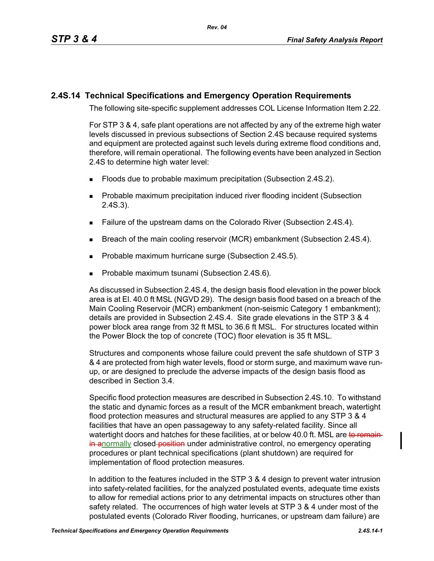## **2.4S.14 Technical Specifications and Emergency Operation Requirements**

The following site-specific supplement addresses COL License Information Item 2.22.

For STP 3 & 4, safe plant operations are not affected by any of the extreme high water levels discussed in previous subsections of Section 2.4S because required systems and equipment are protected against such levels during extreme flood conditions and, therefore, will remain operational. The following events have been analyzed in Section 2.4S to determine high water level:

- Floods due to probable maximum precipitation (Subsection 2.4S.2).
- **Probable maximum precipitation induced river flooding incident (Subsection** 2.4S.3).
- **Failure of the upstream dams on the Colorado River (Subsection 2.4S.4).**
- **Breach of the main cooling reservoir (MCR) embankment (Subsection 2.4S.4).**
- Probable maximum hurricane surge (Subsection 2.4S.5).
- **Probable maximum tsunami (Subsection 2.4S.6).**

As discussed in Subsection 2.4S.4, the design basis flood elevation in the power block area is at El. 40.0 ft MSL (NGVD 29). The design basis flood based on a breach of the Main Cooling Reservoir (MCR) embankment (non-seismic Category 1 embankment); details are provided in Subsection 2.4S.4. Site grade elevations in the STP 3 & 4 power block area range from 32 ft MSL to 36.6 ft MSL. For structures located within the Power Block the top of concrete (TOC) floor elevation is 35 ft MSL.

Structures and components whose failure could prevent the safe shutdown of STP 3 & 4 are protected from high water levels, flood or storm surge, and maximum wave runup, or are designed to preclude the adverse impacts of the design basis flood as described in Section 3.4.

Specific flood protection measures are described in Subsection 2.4S.10. To withstand the static and dynamic forces as a result of the MCR embankment breach, watertight flood protection measures and structural measures are applied to any STP 3 & 4 facilities that have an open passageway to any safety-related facility. Since all watertight doors and hatches for these facilities, at or below 40.0 ft. MSL are to remain in anormally closed-position under administrative control, no emergency operating procedures or plant technical specifications (plant shutdown) are required for implementation of flood protection measures.

In addition to the features included in the STP 3 & 4 design to prevent water intrusion into safety-related facilities, for the analyzed postulated events, adequate time exists to allow for remedial actions prior to any detrimental impacts on structures other than safety related. The occurrences of high water levels at STP 3 & 4 under most of the postulated events (Colorado River flooding, hurricanes, or upstream dam failure) are